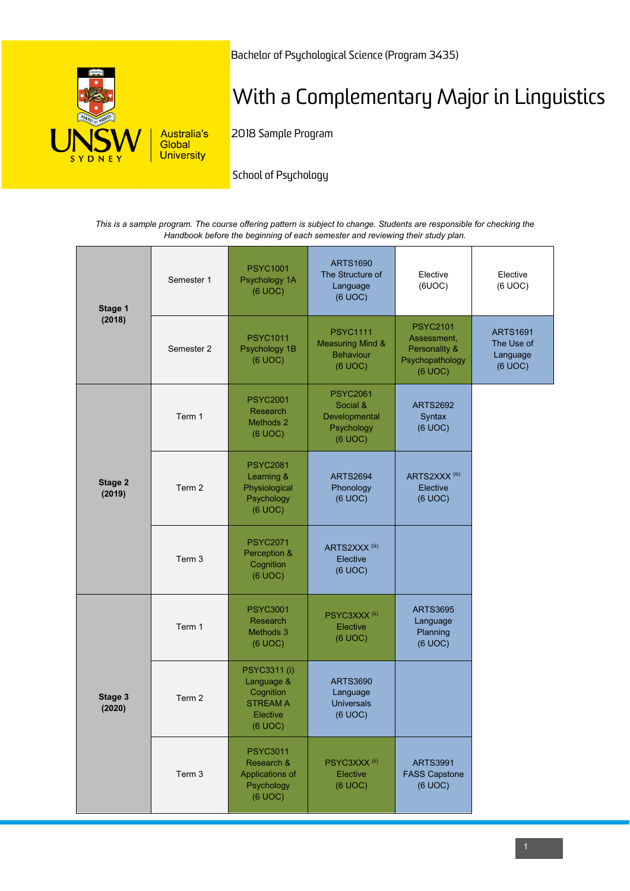

Bachelor of Psychological Science (Program 3435)

# With a Complementary Major in Linguistics

2018 Sample Program

School of Psychology

*This is a sample program. The course offering pattern is subject to change. Students are responsible for checking the Handbook before the beginning of each semester and reviewing their study plan.*

| Stage 1<br>(2018) | Semester 1 | <b>PSYC1001</b><br>Psychology 1A<br>(6 UOC)                                       | <b>ARTS1690</b><br>The Structure of<br>Language<br>(6 UOC)                    | Elective<br>(6UOC)                                                            | Elective<br>(6 UOC)                                  |
|-------------------|------------|-----------------------------------------------------------------------------------|-------------------------------------------------------------------------------|-------------------------------------------------------------------------------|------------------------------------------------------|
|                   | Semester 2 | <b>PSYC1011</b><br>Psychology 1B<br>(6 UOC)                                       | <b>PSYC1111</b><br><b>Measuring Mind &amp;</b><br><b>Behaviour</b><br>(6 UOC) | <b>PSYC2101</b><br>Assessment,<br>Personality &<br>Psychopathology<br>(6 UOC) | <b>ARTS1691</b><br>The Use of<br>Language<br>(6 UOC) |
| Stage 2<br>(2019) | Term 1     | <b>PSYC2001</b><br>Research<br>Methods 2<br>(6 UOC)                               | <b>PSYC2061</b><br>Social &<br>Developmental<br>Psychology<br>(6 UOC)         | <b>ARTS2692</b><br>Syntax<br>(6 UOC)                                          |                                                      |
|                   | Term 2     | <b>PSYC2081</b><br>Learning &<br>Physiological<br>Psychology<br>(6 UOC)           | <b>ARTS2694</b><br>Phonology<br>(6 UOC)                                       | ARTS2XXX <sup>(iii)</sup><br>Elective<br>(6 UOC)                              |                                                      |
|                   | Term 3     | <b>PSYC2071</b><br>Perception &<br>Cognition<br>(6 UOC)                           | ARTS2XXX <sup>(iii)</sup><br>Elective<br>(6 UOC)                              |                                                                               |                                                      |
| Stage 3<br>(2020) | Term 1     | <b>PSYC3001</b><br>Research<br>Methods 3<br>(6 UOC)                               | PSYC3XXX <sup>(ii)</sup><br>Elective<br>(6 UOC)                               | <b>ARTS3695</b><br>Language<br>Planning<br>(6 UOC)                            |                                                      |
|                   | Term 2     | PSYC3311 (i)<br>Language &<br>Cognition<br><b>STREAM A</b><br>Elective<br>(6 UOC) | <b>ARTS3690</b><br>Language<br><b>Universals</b><br>(6 UOC)                   |                                                                               |                                                      |
|                   | Term 3     | <b>PSYC3011</b><br>Research &<br>Applications of<br>Psychology<br>(6 UOC)         | PSYC3XXX <sup>(ii)</sup><br>Elective<br>(6 UOC)                               | <b>ARTS3991</b><br><b>FASS Capstone</b><br>(6 UOC)                            |                                                      |